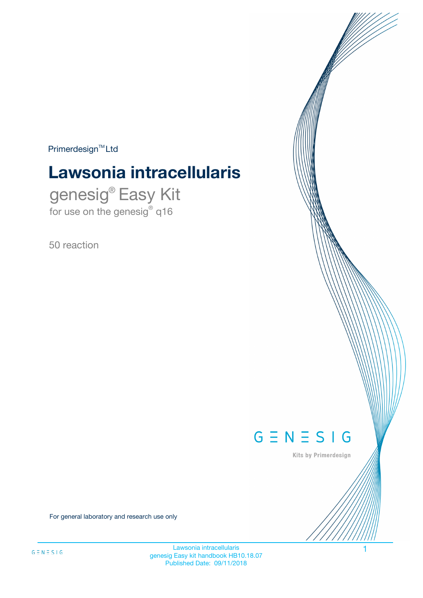$Primerdesign^{\text{TM}}Ltd$ 

# **Lawsonia intracellularis**

genesig® Easy Kit for use on the genesig® q16

50 reaction



Kits by Primerdesign

For general laboratory and research use only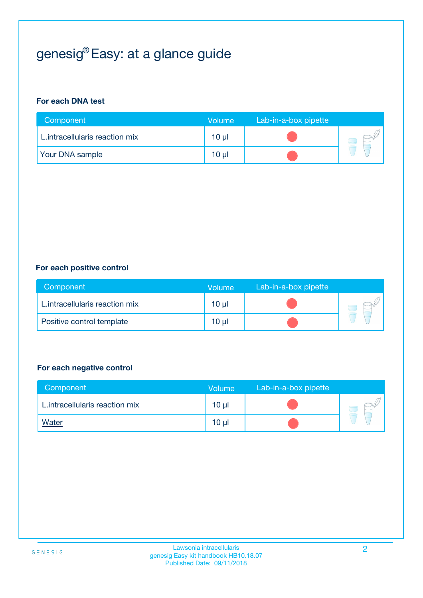## genesig® Easy: at a glance guide

#### **For each DNA test**

| Component                      | <b>Volume</b> | Lab-in-a-box pipette |  |
|--------------------------------|---------------|----------------------|--|
| L.intracellularis reaction mix | 10 µl         |                      |  |
| <b>Your DNA sample</b>         | 10 µl         |                      |  |

#### **For each positive control**

| Component                      | Volume          | Lab-in-a-box pipette |  |
|--------------------------------|-----------------|----------------------|--|
| L.intracellularis reaction mix | 10 <sub>µ</sub> |                      |  |
| Positive control template      | 10 <sub>µ</sub> |                      |  |

#### **For each negative control**

| Component                      | <b>Volume</b>   | Lab-in-a-box pipette |  |
|--------------------------------|-----------------|----------------------|--|
| L.intracellularis reaction mix | 10 <sub>µ</sub> |                      |  |
| <u>Water</u>                   | 10 <sub>µ</sub> |                      |  |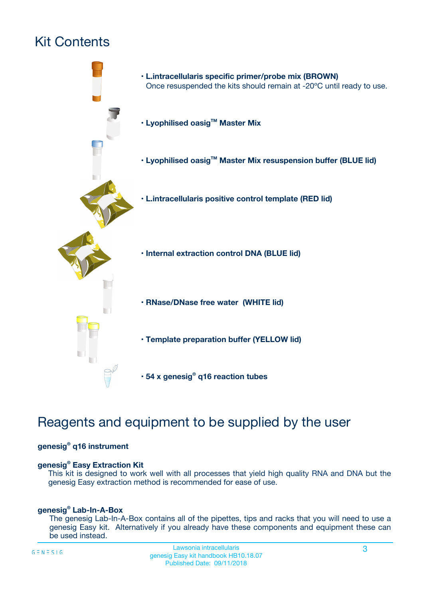## Kit Contents



## Reagents and equipment to be supplied by the user

#### **genesig® q16 instrument**

#### **genesig® Easy Extraction Kit**

This kit is designed to work well with all processes that yield high quality RNA and DNA but the genesig Easy extraction method is recommended for ease of use.

#### **genesig® Lab-In-A-Box**

The genesig Lab-In-A-Box contains all of the pipettes, tips and racks that you will need to use a genesig Easy kit. Alternatively if you already have these components and equipment these can be used instead.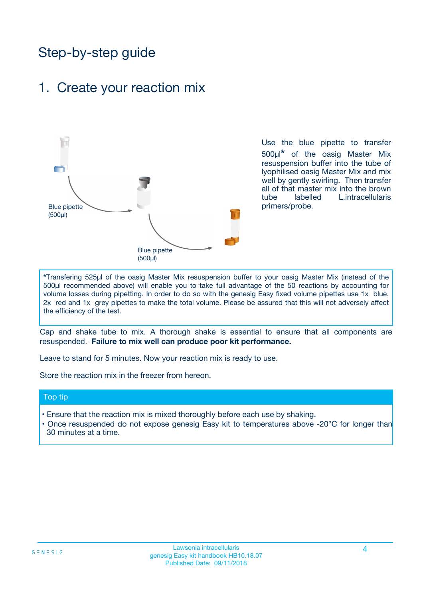## Step-by-step guide

### 1. Create your reaction mix



Use the blue pipette to transfer 500µl**\*** of the oasig Master Mix resuspension buffer into the tube of lyophilised oasig Master Mix and mix well by gently swirling. Then transfer all of that master mix into the brown tube labelled L.intracellularis primers/probe.

**\***Transfering 525µl of the oasig Master Mix resuspension buffer to your oasig Master Mix (instead of the 500µl recommended above) will enable you to take full advantage of the 50 reactions by accounting for volume losses during pipetting. In order to do so with the genesig Easy fixed volume pipettes use 1x blue, 2x red and 1x grey pipettes to make the total volume. Please be assured that this will not adversely affect the efficiency of the test.

Cap and shake tube to mix. A thorough shake is essential to ensure that all components are resuspended. **Failure to mix well can produce poor kit performance.**

Leave to stand for 5 minutes. Now your reaction mix is ready to use.

Store the reaction mix in the freezer from hereon.

#### Top tip

- Ensure that the reaction mix is mixed thoroughly before each use by shaking.
- **•** Once resuspended do not expose genesig Easy kit to temperatures above -20°C for longer than 30 minutes at a time.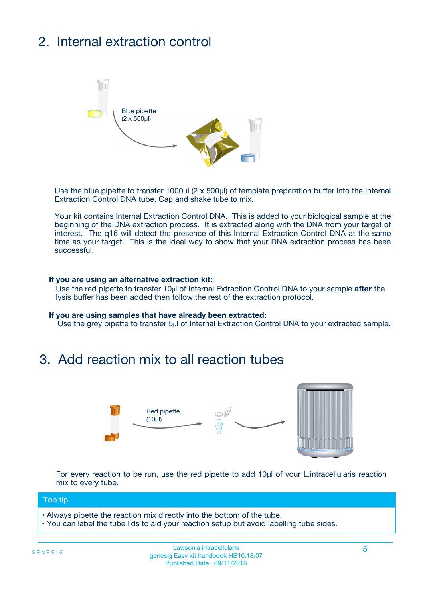## 2. Internal extraction control



Use the blue pipette to transfer 1000µl (2 x 500µl) of template preparation buffer into the Internal Extraction Control DNA tube. Cap and shake tube to mix.

Your kit contains Internal Extraction Control DNA. This is added to your biological sample at the beginning of the DNA extraction process. It is extracted along with the DNA from your target of interest. The q16 will detect the presence of this Internal Extraction Control DNA at the same time as your target. This is the ideal way to show that your DNA extraction process has been **successful.** 

#### **If you are using an alternative extraction kit:**

Use the red pipette to transfer 10µl of Internal Extraction Control DNA to your sample **after** the lysis buffer has been added then follow the rest of the extraction protocol.

#### **If you are using samples that have already been extracted:**

Use the grey pipette to transfer 5µl of Internal Extraction Control DNA to your extracted sample.

### 3. Add reaction mix to all reaction tubes



For every reaction to be run, use the red pipette to add 10µl of your L.intracellularis reaction mix to every tube.

#### Top tip

- Always pipette the reaction mix directly into the bottom of the tube.
- You can label the tube lids to aid your reaction setup but avoid labelling tube sides.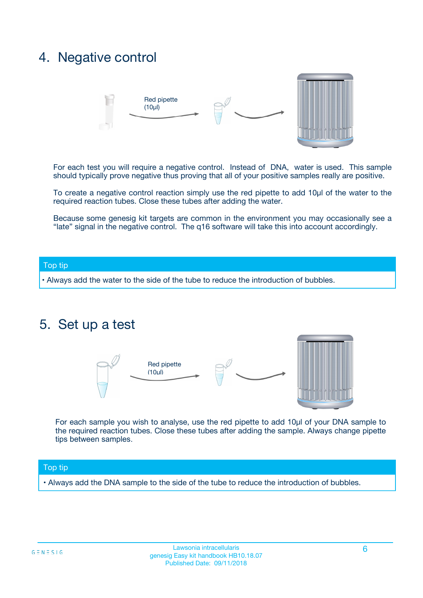### 4. Negative control



For each test you will require a negative control. Instead of DNA, water is used. This sample should typically prove negative thus proving that all of your positive samples really are positive.

To create a negative control reaction simply use the red pipette to add 10µl of the water to the required reaction tubes. Close these tubes after adding the water.

Because some genesig kit targets are common in the environment you may occasionally see a "late" signal in the negative control. The q16 software will take this into account accordingly.

#### Top tip

**•** Always add the water to the side of the tube to reduce the introduction of bubbles.

### 5. Set up a test



For each sample you wish to analyse, use the red pipette to add 10µl of your DNA sample to the required reaction tubes. Close these tubes after adding the sample. Always change pipette tips between samples.

#### Top tip

**•** Always add the DNA sample to the side of the tube to reduce the introduction of bubbles.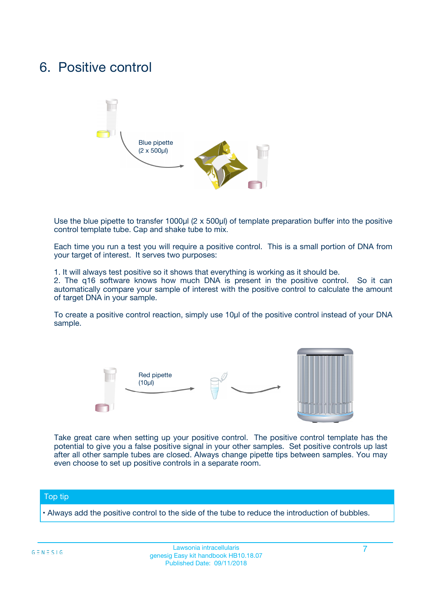### 6. Positive control



Use the blue pipette to transfer 1000µl (2 x 500µl) of template preparation buffer into the positive control template tube. Cap and shake tube to mix.

Each time you run a test you will require a positive control. This is a small portion of DNA from your target of interest. It serves two purposes:

1. It will always test positive so it shows that everything is working as it should be.

2. The q16 software knows how much DNA is present in the positive control. So it can automatically compare your sample of interest with the positive control to calculate the amount of target DNA in your sample.

To create a positive control reaction, simply use 10µl of the positive control instead of your DNA sample.



Take great care when setting up your positive control. The positive control template has the potential to give you a false positive signal in your other samples. Set positive controls up last after all other sample tubes are closed. Always change pipette tips between samples. You may even choose to set up positive controls in a separate room.

#### Top tip

**•** Always add the positive control to the side of the tube to reduce the introduction of bubbles.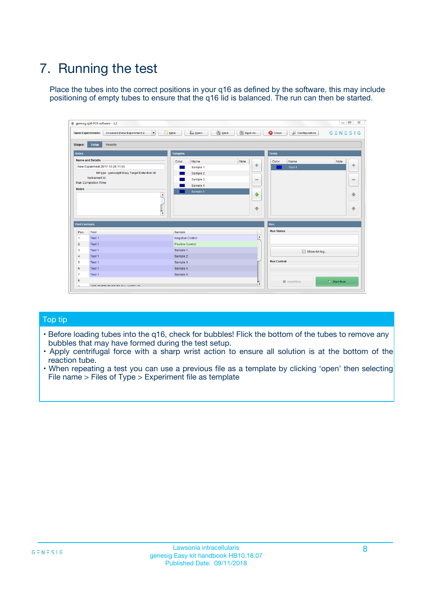## 7. Running the test

Place the tubes into the correct positions in your q16 as defined by the software, this may include positioning of empty tubes to ensure that the q16 lid is balanced. The run can then be started.

|                      | genesig q16 PCR software - 1.2                                               |                                |                              |                                          | $\begin{array}{c c c c} \hline \multicolumn{3}{c }{\textbf{0}} & \multicolumn{3}{c }{\textbf{0}} \end{array}$<br>$\Sigma\!3$ |
|----------------------|------------------------------------------------------------------------------|--------------------------------|------------------------------|------------------------------------------|------------------------------------------------------------------------------------------------------------------------------|
|                      | $\vert \cdot \vert$<br><b>Open Experiments:</b><br>Unsaved (New Experiment 2 | Open<br>Save<br>$\sqrt{9}$ New | Save As                      | <b>C</b> Close<br><b>X</b> Configuration | $G \equiv N \equiv S \mid G$                                                                                                 |
| <b>Stages:</b>       | Setup<br><b>Results</b>                                                      |                                |                              |                                          |                                                                                                                              |
| <b>Notes</b>         |                                                                              | <b>Samples</b>                 |                              | <b>Tests</b>                             |                                                                                                                              |
|                      | <b>Name and Details</b>                                                      | Color<br>Name                  | Note                         | Color<br>Name                            | Note                                                                                                                         |
|                      | New Experiment 2017-10-26 11:06                                              | Sample 1                       | ÷                            | Test 1                                   | ÷                                                                                                                            |
|                      | Kit type: genesig® Easy Target Detection kit                                 | Sample 2                       |                              |                                          |                                                                                                                              |
|                      | Instrument Id.:                                                              | Sample 3                       | $\qquad \qquad \blacksquare$ |                                          | $\qquad \qquad \blacksquare$                                                                                                 |
|                      | <b>Run Completion Time:</b>                                                  | Sample 4                       |                              |                                          |                                                                                                                              |
| <b>Notes</b>         | <b>A</b><br>v                                                                | Sample 5                       | $\triangle$<br>$\oplus$      |                                          | 4<br>₩                                                                                                                       |
| <b>Well Contents</b> |                                                                              |                                |                              | Run                                      |                                                                                                                              |
| Pos.                 | Test                                                                         | Sample                         |                              | <b>Run Status</b>                        |                                                                                                                              |
| $\overline{1}$       | Test 1                                                                       | <b>Negative Control</b>        | $\blacktriangle$             |                                          |                                                                                                                              |
| $\overline{2}$       | Test 1                                                                       | <b>Positive Control</b>        |                              |                                          |                                                                                                                              |
| 3                    | Test 1                                                                       | Sample 1                       |                              | Show full log                            |                                                                                                                              |
| $\overline{4}$       | Test 1                                                                       | Sample 2                       |                              |                                          |                                                                                                                              |
| 5                    | Test 1                                                                       | Sample 3                       |                              | <b>Run Control</b>                       |                                                                                                                              |
| 6                    | Test 1                                                                       | Sample 4                       |                              |                                          |                                                                                                                              |
| $\overline{7}$       | Test 1                                                                       | Sample 5                       |                              |                                          |                                                                                                                              |
| -8                   |                                                                              |                                |                              | Abort Run                                | $\triangleright$ Start Run                                                                                                   |
|                      | <b>JOB FURTY TURE TO BULLMAR LIB</b>                                         |                                | $\overline{\mathbf{v}}$      |                                          |                                                                                                                              |

#### Top tip

- Before loading tubes into the q16, check for bubbles! Flick the bottom of the tubes to remove any bubbles that may have formed during the test setup.
- Apply centrifugal force with a sharp wrist action to ensure all solution is at the bottom of the reaction tube.
- When repeating a test you can use a previous file as a template by clicking 'open' then selecting File name > Files of Type > Experiment file as template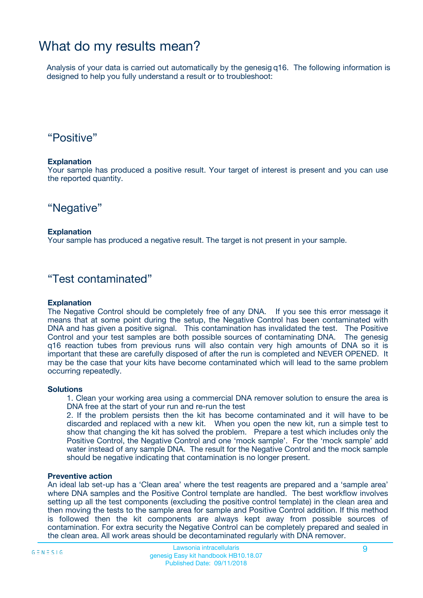### What do my results mean?

Analysis of your data is carried out automatically by the genesig q16. The following information is designed to help you fully understand a result or to troubleshoot:

### "Positive"

#### **Explanation**

Your sample has produced a positive result. Your target of interest is present and you can use the reported quantity.

"Negative"

#### **Explanation**

Your sample has produced a negative result. The target is not present in your sample.

### "Test contaminated"

#### **Explanation**

The Negative Control should be completely free of any DNA. If you see this error message it means that at some point during the setup, the Negative Control has been contaminated with DNA and has given a positive signal. This contamination has invalidated the test. The Positive Control and your test samples are both possible sources of contaminating DNA. The genesig q16 reaction tubes from previous runs will also contain very high amounts of DNA so it is important that these are carefully disposed of after the run is completed and NEVER OPENED. It may be the case that your kits have become contaminated which will lead to the same problem occurring repeatedly.

#### **Solutions**

1. Clean your working area using a commercial DNA remover solution to ensure the area is DNA free at the start of your run and re-run the test

2. If the problem persists then the kit has become contaminated and it will have to be discarded and replaced with a new kit. When you open the new kit, run a simple test to show that changing the kit has solved the problem. Prepare a test which includes only the Positive Control, the Negative Control and one 'mock sample'. For the 'mock sample' add water instead of any sample DNA. The result for the Negative Control and the mock sample should be negative indicating that contamination is no longer present.

#### **Preventive action**

An ideal lab set-up has a 'Clean area' where the test reagents are prepared and a 'sample area' where DNA samples and the Positive Control template are handled. The best workflow involves setting up all the test components (excluding the positive control template) in the clean area and then moving the tests to the sample area for sample and Positive Control addition. If this method is followed then the kit components are always kept away from possible sources of contamination. For extra security the Negative Control can be completely prepared and sealed in the clean area. All work areas should be decontaminated regularly with DNA remover.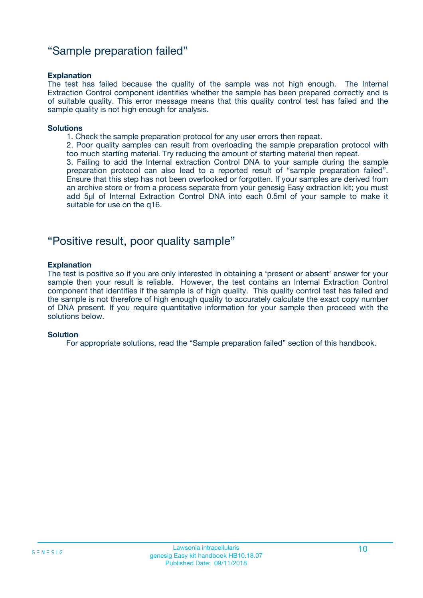### "Sample preparation failed"

#### **Explanation**

The test has failed because the quality of the sample was not high enough. The Internal Extraction Control component identifies whether the sample has been prepared correctly and is of suitable quality. This error message means that this quality control test has failed and the sample quality is not high enough for analysis.

#### **Solutions**

1. Check the sample preparation protocol for any user errors then repeat.

2. Poor quality samples can result from overloading the sample preparation protocol with too much starting material. Try reducing the amount of starting material then repeat.

3. Failing to add the Internal extraction Control DNA to your sample during the sample preparation protocol can also lead to a reported result of "sample preparation failed". Ensure that this step has not been overlooked or forgotten. If your samples are derived from an archive store or from a process separate from your genesig Easy extraction kit; you must add 5µl of Internal Extraction Control DNA into each 0.5ml of your sample to make it suitable for use on the q16.

### "Positive result, poor quality sample"

#### **Explanation**

The test is positive so if you are only interested in obtaining a 'present or absent' answer for your sample then your result is reliable. However, the test contains an Internal Extraction Control component that identifies if the sample is of high quality. This quality control test has failed and the sample is not therefore of high enough quality to accurately calculate the exact copy number of DNA present. If you require quantitative information for your sample then proceed with the solutions below.

#### **Solution**

For appropriate solutions, read the "Sample preparation failed" section of this handbook.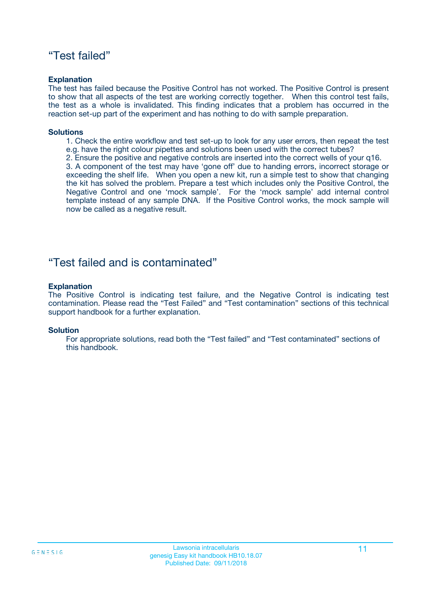### "Test failed"

#### **Explanation**

The test has failed because the Positive Control has not worked. The Positive Control is present to show that all aspects of the test are working correctly together. When this control test fails, the test as a whole is invalidated. This finding indicates that a problem has occurred in the reaction set-up part of the experiment and has nothing to do with sample preparation.

#### **Solutions**

- 1. Check the entire workflow and test set-up to look for any user errors, then repeat the test e.g. have the right colour pipettes and solutions been used with the correct tubes?
- 2. Ensure the positive and negative controls are inserted into the correct wells of your q16.

3. A component of the test may have 'gone off' due to handing errors, incorrect storage or exceeding the shelf life. When you open a new kit, run a simple test to show that changing the kit has solved the problem. Prepare a test which includes only the Positive Control, the Negative Control and one 'mock sample'. For the 'mock sample' add internal control template instead of any sample DNA. If the Positive Control works, the mock sample will now be called as a negative result.

### "Test failed and is contaminated"

#### **Explanation**

The Positive Control is indicating test failure, and the Negative Control is indicating test contamination. Please read the "Test Failed" and "Test contamination" sections of this technical support handbook for a further explanation.

#### **Solution**

For appropriate solutions, read both the "Test failed" and "Test contaminated" sections of this handbook.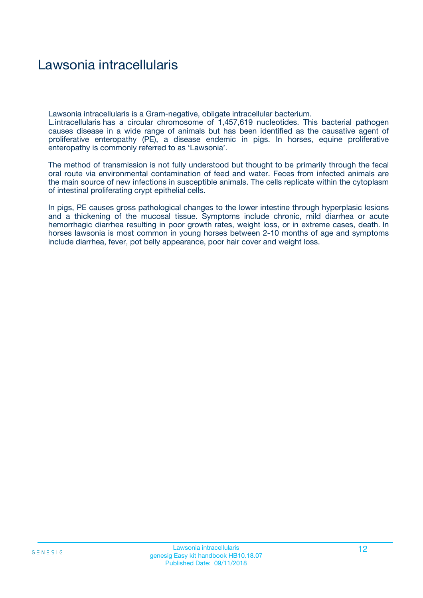### Lawsonia intracellularis

Lawsonia intracellularis is a Gram-negative, obligate intracellular bacterium.

L.intracellularis has a circular chromosome of 1,457,619 nucleotides. This bacterial pathogen causes disease in a wide range of animals but has been identified as the causative agent of proliferative enteropathy (PE), a disease endemic in pigs. In horses, equine proliferative enteropathy is commonly referred to as 'Lawsonia'.

The method of transmission is not fully understood but thought to be primarily through the fecal oral route via environmental contamination of feed and water. Feces from infected animals are the main source of new infections in susceptible animals. The cells replicate within the cytoplasm of intestinal proliferating crypt epithelial cells.

In pigs, PE causes gross pathological changes to the lower intestine through hyperplasic lesions and a thickening of the mucosal tissue. Symptoms include chronic, mild diarrhea or acute hemorrhagic diarrhea resulting in poor growth rates, weight loss, or in extreme cases, death. In horses lawsonia is most common in young horses between 2-10 months of age and symptoms include diarrhea, fever, pot belly appearance, poor hair cover and weight loss.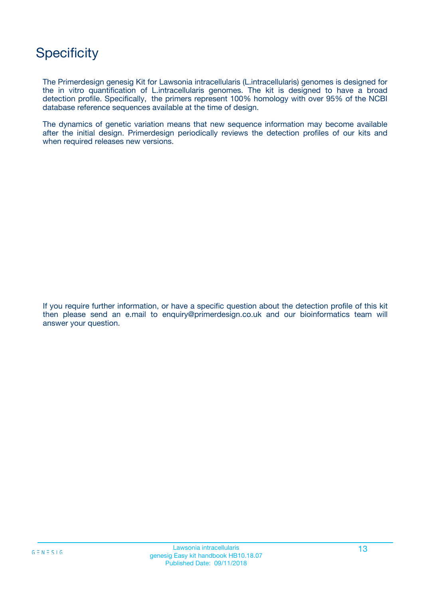## **Specificity**

The Primerdesign genesig Kit for Lawsonia intracellularis (L.intracellularis) genomes is designed for the in vitro quantification of L.intracellularis genomes. The kit is designed to have a broad detection profile. Specifically, the primers represent 100% homology with over 95% of the NCBI database reference sequences available at the time of design.

The dynamics of genetic variation means that new sequence information may become available after the initial design. Primerdesign periodically reviews the detection profiles of our kits and when required releases new versions.

If you require further information, or have a specific question about the detection profile of this kit then please send an e.mail to enquiry@primerdesign.co.uk and our bioinformatics team will answer your question.